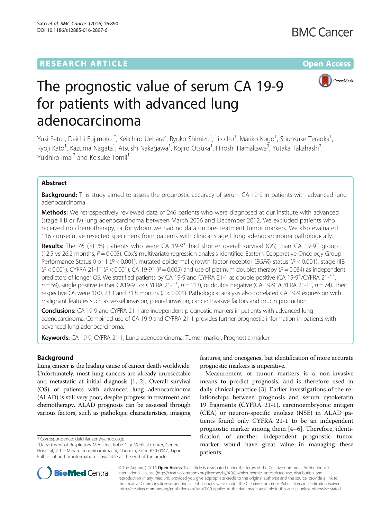# **RESEARCH ARTICLE External Structure Community Community Community Community Community Community Community Community**



# The prognostic value of serum CA 19-9 for patients with advanced lung adenocarcinoma

Yuki Sato<sup>1</sup>, Daichi Fujimoto<sup>1\*</sup>, Keiichiro Uehara<sup>2</sup>, Ryoko Shimizu<sup>1</sup>, Jiro Ito<sup>1</sup>, Mariko Kogo<sup>1</sup>, Shunsuke Teraoka<sup>1</sup> , Ryoji Kato<sup>1</sup>, Kazuma Nagata<sup>1</sup>, Atsushi Nakagawa<sup>1</sup>, Kojiro Otsuka<sup>1</sup>, Hiroshi Hamakawa<sup>3</sup>, Yutaka Takahashi<sup>3</sup> , Yukihiro Imai<sup>2</sup> and Keisuke Tomii<sup>1</sup>

# Abstract

**Background:** This study aimed to assess the prognostic accuracy of serum CA 19-9 in patients with advanced lung adenocarcinoma.

**Methods:** We retrospectively reviewed data of 246 patients who were diagnosed at our institute with advanced (stage IIIB or IV) lung adenocarcinoma between March 2006 and December 2012. We excluded patients who received no chemotherapy, or for whom we had no data on pre-treatment tumor markers. We also evaluated 116 consecutive resected specimens from patients with clinical stage I lung adenocarcinoma pathologically.

**Results:** The 76 (31 %) patients who were CA 19-9<sup>+</sup> had shorter overall survival (OS) than CA 19-9<sup>-</sup> group (12.5 vs 26.2 months,  $P = 0.005$ ). Cox's multivariate regression analysis identified Eastern Cooperative Oncology Group Performance Status 0 or 1 ( $P < 0.001$ ), mutated epidermal growth factor receptor (EGFR) status ( $P < 0.001$ ), stage IIIB  $(P < 0.001)$ , CYFRA 21-1<sup>-</sup> (P < 0.001), CA 19-9<sup>-</sup> (P = 0.005) and use of platinum doublet therapy (P = 0.034) as independent predictors of longer OS. We stratified patients by CA 19-9 and CYFRA 21-1 as double positive (CA 19-9<sup>+</sup>/CYFRA 21-1<sup>+</sup> , .<br>n = 59), single positive (either CA19-9<sup>+</sup> or CYFRA 21-1<sup>+</sup>, n = 113), or double negative (CA 19-9<sup>-</sup>/CYFRA 21-1<sup>-</sup>, n = 74). Their respective OS were 10.0, 23.3 and 31.8 months ( $P < 0.001$ ). Pathological analysis also correlated CA 19-9 expression with malignant features such as vessel invasion, pleural invasion, cancer invasive factors and mucin production.

Conclusions: CA 19-9 and CYFRA 21-1 are independent prognostic markers in patients with advanced lung adenocarcinoma. Combined use of CA 19-9 and CYFRA 21-1 provides further prognostic information in patients with advanced lung adenocarcinoma.

Keywords: CA 19-9, CYFRA 21-1, Lung adenocarcinoma, Tumor marker, Prognostic marker

## Background

Lung cancer is the leading cause of cancer death worldwide. Unfortunately, most lung cancers are already unresectable and metastatic at initial diagnosis [[1](#page-7-0), [2\]](#page-7-0). Overall survival (OS) of patients with advanced lung adenocarcinoma (ALAD) is still very poor, despite progress in treatment and chemotherapy. ALAD prognosis can be assessed through various factors, such as pathologic characteristics, imaging

features, and oncogenes, but identification of more accurate prognostic markers is imperative.

Measurement of tumor markers is a non-invasive means to predict prognosis, and is therefore used in daily clinical practice [[3](#page-8-0)]. Earlier investigations of the relationships between prognosis and serum cytokeratin 19 fragments (CYFRA 21-1), carcinoembryonic antigen (CEA) or neuron-specific enolase (NSE) in ALAD patients found only CYFRA 21-1 to be an independent prognostic marker among them [[4](#page-8-0)–[6\]](#page-8-0). Therefore, identification of another independent prognostic tumor marker would have great value in managing these patients.



© The Author(s). 2016 Open Access This article is distributed under the terms of the Creative Commons Attribution 4.0 International License [\(http://creativecommons.org/licenses/by/4.0/](http://creativecommons.org/licenses/by/4.0/)), which permits unrestricted use, distribution, and reproduction in any medium, provided you give appropriate credit to the original author(s) and the source, provide a link to the Creative Commons license, and indicate if changes were made. The Creative Commons Public Domain Dedication waiver [\(http://creativecommons.org/publicdomain/zero/1.0/](http://creativecommons.org/publicdomain/zero/1.0/)) applies to the data made available in this article, unless otherwise stated.

<sup>\*</sup> Correspondence: [daichianzen@yahoo.co.jp](mailto:daichianzen@yahoo.co.jp) <sup>1</sup>

<sup>&</sup>lt;sup>1</sup>Department of Respiratory Medicine, Kobe City Medical Center, General Hospital, 2-1-1 Minatojima-minamimachi, Chuo-ku, Kobe 650-0047, Japan Full list of author information is available at the end of the article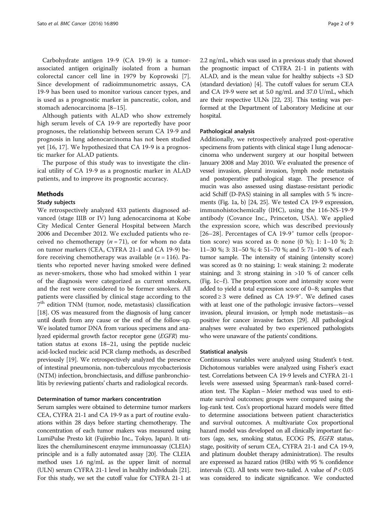Carbohydrate antigen 19-9 (CA 19-9) is a tumorassociated antigen originally isolated from a human colorectal cancer cell line in 1979 by Koprowski [\[7](#page-8-0)]. Since development of radioimmunometric assays, CA 19-9 has been used to monitor various cancer types, and is used as a prognostic marker in pancreatic, colon, and stomach adenocarcinoma [\[8](#page-8-0)–[15\]](#page-8-0).

Although patients with ALAD who show extremely high serum levels of CA 19-9 are reportedly have poor prognoses, the relationship between serum CA 19-9 and prognosis in lung adenocarcinoma has not been studied yet [[16](#page-8-0), [17](#page-8-0)]. We hypothesized that CA 19-9 is a prognostic marker for ALAD patients.

The purpose of this study was to investigate the clinical utility of CA 19-9 as a prognostic marker in ALAD patients, and to improve its prognostic accuracy.

#### Methods

#### Study subjects

We retrospectively analyzed 433 patients diagnosed advanced (stage IIIB or IV) lung adenocarcinoma at Kobe City Medical Center General Hospital between March 2006 and December 2012. We excluded patients who received no chemotherapy  $(n = 71)$ , or for whom no data on tumor markers (CEA, CYFRA 21-1 and CA 19-9) before receiving chemotherapy was available  $(n = 116)$ . Patients who reported never having smoked were defined as never-smokers, those who had smoked within 1 year of the diagnosis were categorized as current smokers, and the rest were considered to be former smokers. All patients were classified by clinical stage according to the 7th edition TNM (tumor, node, metastasis) classification [[18](#page-8-0)]. OS was measured from the diagnosis of lung cancer until death from any cause or the end of the follow-up. We isolated tumor DNA from various specimens and analyzed epidermal growth factor receptor gene (EGFR) mutation status at exons 18–21, using the peptide nucleic acid-locked nucleic acid PCR clamp methods, as described previously [\[19\]](#page-8-0). We retrospectively analyzed the presence of intestinal pneumonia, non-tuberculous mycobacteriosis (NTM) infection, bronchiectasis, and diffuse panbronchiolitis by reviewing patients' charts and radiological records.

#### Determination of tumor markers concentration

Serum samples were obtained to determine tumor markers CEA, CYFRA 21-1 and CA 19-9 as a part of routine evaluations within 28 days before starting chemotherapy. The concentration of each tumor makers was measured using LumiPulse Presto kit (Fujirebio Inc., Tokyo, Japan). It utilizes the chemiluminescent enzyme immunoassay (CLEIA) principle and is a fully automated assay [\[20\]](#page-8-0). The CLEIA method uses 1.6 ng/mL as the upper limit of normal (ULN) serum CYFRA 21-1 level in healthy individuals [\[21](#page-8-0)]. For this study, we set the cutoff value for CYFRA 21-1 at 2.2 ng/mL, which was used in a previous study that showed the prognostic impact of CYFRA 21-1 in patients with ALAD, and is the mean value for healthy subjects +3 SD (standard deviation) [\[4](#page-8-0)]. The cutoff values for serum CEA and CA 19-9 were set at 5.0 ng/mL and 37.0 U/mL, which are their respective ULNs [\[22, 23](#page-8-0)]. This testing was performed at the Department of Laboratory Medicine at our hospital.

#### Pathological analysis

Additionally, we retrospectively analyzed post-operative specimens from patients with clinical stage I lung adenocarcinoma who underwent surgery at our hospital between January 2008 and May 2010. We evaluated the presence of vessel invasion, pleural invasion, lymph node metastasis and postoperative pathological stage. The presence of mucin was also assessed using diastase-resistant periodic acid Schiff (D-PAS) staining in all samples with 5 % increments (Fig. [1a, b\)](#page-2-0) [\[24, 25](#page-8-0)]. We tested CA 19-9 expression, immunohistochemically (IHC), using the 116-NS-19-9 antibody (Covance Inc., Princeton, USA). We applied the expression score, which was described previously [[26](#page-8-0)–[28](#page-8-0)]. Percentages of CA 19-9<sup>+</sup> tumor cells (proportion score) was scored as 0: none  $(0, %); 1: 1-10, %; 2:$ 11–30 %; 3: 31–50 %; 4: 51–70 %; and 5: 71–100 % of each tumor sample. The intensity of staining (intensity score) was scored as 0: no staining; 1: weak staining; 2: moderate staining; and 3: strong staining in >10 % of cancer cells (Fig.  $1c-f$ ). The proportion score and intensity score were added to yield a total expression score of 0–8; samples that scored  $\geq$  3 were defined as CA 19-9<sup>+</sup>. We defined cases with at least one of the pathologic invasive factors—vessel invasion, pleural invasion, or lymph node metastasis—as positive for cancer invasive factors [\[29\]](#page-8-0). All pathological analyses were evaluated by two experienced pathologists who were unaware of the patients' conditions.

#### Statistical analysis

Continuous variables were analyzed using Student's t-test. Dichotomous variables were analyzed using Fisher's exact test. Correlations between CA 19-9 levels and CYFRA 21-1 levels were assessed using Spearman's rank-based correlation test. The Kaplan − Meier method was used to estimate survival outcomes; groups were compared using the log-rank test. Cox's proportional hazard models were fitted to determine associations between patient characteristics and survival outcomes. A multivariate Cox proportional hazard model was developed on all clinically important factors (age, sex, smoking status, ECOG PS, EGFR status, stage, positivity of serum CEA, CYFRA 21-1 and CA 19-9, and platinum doublet therapy administration). The results are expressed as hazard ratios (HRs) with 95 % confidence intervals (CI). All tests were two-tailed. A value of  $P < 0.05$ was considered to indicate significance. We conducted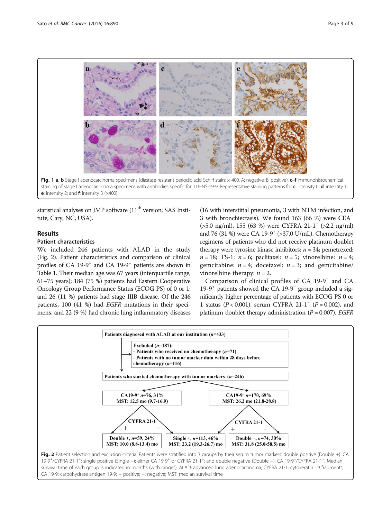<span id="page-2-0"></span>

e: intensity 2; and  $f$ : intensity 3 ( $\times$ 400)

statistical analyses on JMP software  $(11<sup>th</sup>$  version; SAS Institute, Cary, NC, USA).

#### Results

#### Patient characteristics

We included 246 patients with ALAD in the study (Fig. 2). Patient characteristics and comparison of clinical profiles of CA 19-9<sup>+</sup> and CA 19-9<sup>-</sup> patients are shown in Table [1](#page-3-0). Their median age was 67 years (interquartile range, 61–75 years); 184 (75 %) patients had Eastern Cooperative Oncology Group Performance Status (ECOG PS) of 0 or 1; and 26 (11 %) patients had stage IIIB disease. Of the 246 patients, 100 (41 %) had EGFR mutations in their specimens, and 22 (9 %) had chronic lung inflammatory diseases

(16 with interstitial pneumonia, 3 with NTM infection, and 3 with bronchiectasis). We found 163 (66 %) were CEA+  $($ >5.0 ng/ml), 155 (63 %) were CYFRA 21-1<sup>+</sup> (>2.2 ng/ml) and 76 (31 %) were CA 19-9+ (>37.0 U/mL). Chemotherapy regimens of patients who did not receive platinum doublet therapy were tyrosine kinase inhibitors:  $n = 34$ ; pemetrexed:  $n = 18$ ; TS-1:  $n = 6$ ; paclitaxel:  $n = 5$ ; vinorelbine:  $n = 4$ ; gemcitabine:  $n = 4$ ; docetaxel:  $n = 3$ ; and gemcitabine/ vinorel bine therapy:  $n = 2$ .

Comparison of clinical profiles of CA 19-9<sup>−</sup> and CA 19-9<sup>+</sup> patients showed the CA 19-9<sup>−</sup> group included a significantly higher percentage of patients with ECOG PS 0 or 1 status ( $P < 0.001$ ), serum CYFRA 21-1<sup>-</sup> ( $P = 0.002$ ), and platinum doublet therapy administration  $(P = 0.007)$ . *EGFR* 

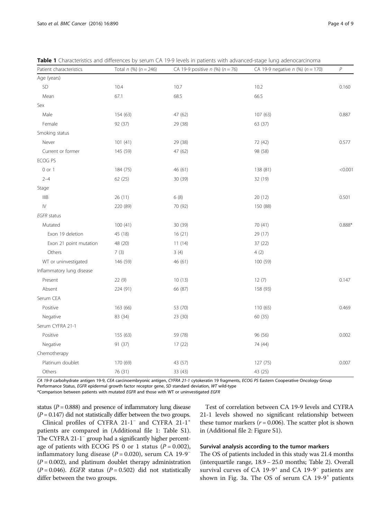| Patient characteristics   | Total $n$ (%) $(n = 246)$ | CA 19-9 positive $n$ (%) ( $n = 76$ ) | CA 19-9 negative $n$ (%) ( $n = 170$ ) | $\boldsymbol{P}$ |
|---------------------------|---------------------------|---------------------------------------|----------------------------------------|------------------|
| Age (years)               |                           |                                       |                                        |                  |
| SD                        | 10.4                      | 10.7                                  | 10.2                                   | 0.160            |
| Mean                      | 67.1                      | 68.5                                  | 66.5                                   |                  |
| Sex                       |                           |                                       |                                        |                  |
| Male                      | 154 (63)                  | 47 (62)                               | 107 (63)                               | 0.887            |
| Female                    | 92 (37)                   | 29 (38)                               | 63 (37)                                |                  |
| Smoking status            |                           |                                       |                                        |                  |
| Never                     | 101(41)                   | 29 (38)                               | 72 (42)                                | 0.577            |
| Current or former         | 145 (59)                  | 47 (62)                               | 98 (58)                                |                  |
| ECOG PS                   |                           |                                       |                                        |                  |
| $0$ or $1$                | 184 (75)                  | 46 (61)                               | 138 (81)                               | < 0.001          |
| $2 - 4$                   | 62 (25)                   | 30 (39)                               | 32 (19)                                |                  |
| Stage                     |                           |                                       |                                        |                  |
| IIIB                      | 26 (11)                   | 6(8)                                  | 20 (12)                                | 0.501            |
| $\mathsf{I}\mathsf{V}$    | 220 (89)                  | 70 (92)                               | 150 (88)                               |                  |
| <b>EGFR</b> status        |                           |                                       |                                        |                  |
| Mutated                   | 100(41)                   | 30 (39)                               | 70 (41)                                | $0.888*$         |
| Exon 19 deletion          | 45 (18)                   | 16(21)                                | 29 (17)                                |                  |
| Exon 21 point mutation    | 48 (20)                   | 11(14)                                | 37 (22)                                |                  |
| Others                    | 7(3)                      | 3(4)                                  | 4(2)                                   |                  |
| WT or uninvestigated      | 146 (59)                  | 46 (61)                               | 100 (59)                               |                  |
| Inflammatory lung disease |                           |                                       |                                        |                  |
| Present                   | 22 (9)                    | 10(13)                                | 12(7)                                  | 0.147            |
| Absent                    | 224 (91)                  | 66 (87)                               | 158 (93)                               |                  |
| Serum CEA                 |                           |                                       |                                        |                  |
| Positive                  | 163 (66)                  | 53 (70)                               | 110 (65)                               | 0.469            |
| Negative                  | 83 (34)                   | 23 (30)                               | 60 (35)                                |                  |
| Serum CYFRA 21-1          |                           |                                       |                                        |                  |
| Positive                  | 155 (63)                  | 59 (78)                               | 96 (56)                                | 0.002            |
| Negative                  | 91 (37)                   | 17(22)                                | 74 (44)                                |                  |
| Chemotherapy              |                           |                                       |                                        |                  |
| Platinum doublet          | 170 (69)                  | 43 (57)                               | 127(75)                                | 0.007            |
| Others                    | 76 (31)                   | 33 (43)                               | 43 (25)                                |                  |

<span id="page-3-0"></span>Table 1 Characteristics and differences by serum CA 19-9 levels in patients with advanced-stage lung adenocarcinoma

CA 19-9 carbohydrate antigen 19-9, CEA carcinoembryonic antigen, CYFRA 21-1 cytokeratin 19 fragments, ECOG PS Eastern Cooperative Oncology Group Performance Status, EGFR epidermal growth factor receptor gene, SD standard deviation, WT wild-type

\*Comparison between patients with mutated EGFR and those with WT or uninvestigated EGFR

status ( $P = 0.888$ ) and presence of inflammatory lung disease  $(P = 0.147)$  did not statistically differ between the two groups.

Clinical profiles of CYFRA 21-1<sup>−</sup> and CYFRA 21-1<sup>+</sup> patients are compared in (Additional file [1:](#page-7-0) Table S1). The CYFRA 21-1<sup>−</sup> group had a significantly higher percentage of patients with ECOG PS 0 or 1 status  $(P = 0.002)$ , inflammatory lung disease ( $P = 0.020$ ), serum CA 19-9<sup>-</sup>  $(P = 0.002)$ , and platinum doublet therapy administration  $(P = 0.046)$ . *EGFR* status  $(P = 0.502)$  did not statistically differ between the two groups.

Test of correlation between CA 19-9 levels and CYFRA 21-1 levels showed no significant relationship between these tumor markers  $(r = 0.006)$ . The scatter plot is shown in (Additional file [2](#page-7-0): Figure S1).

#### Survival analysis according to the tumor markers

The OS of patients included in this study was 21.4 months (interquartile range, 18.9 − 25.0 months; Table [2\)](#page-4-0). Overall survival curves of CA 19-9<sup>+</sup> and CA 19-9<sup>−</sup> patients are shown in Fig. [3a.](#page-5-0) The OS of serum CA 19-9<sup>+</sup> patients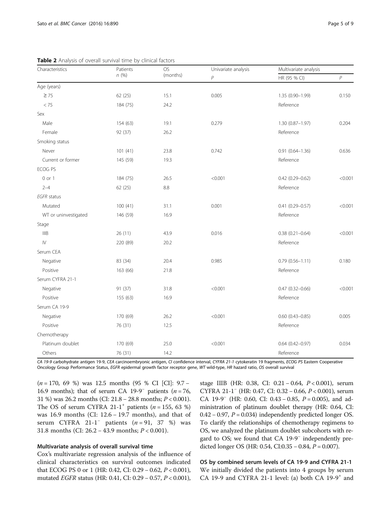| Characteristics      | Patients   | OS       | Univariate analysis<br>$\overline{P}$ | Multivariate analysis  |                |
|----------------------|------------|----------|---------------------------------------|------------------------|----------------|
|                      | $n \ (\%)$ | (months) |                                       | HR (95 % CI)           | $\overline{P}$ |
| Age (years)          |            |          |                                       |                        |                |
| $\geq 75$            | 62 (25)    | 15.1     | 0.005                                 | 1.35 (0.90-1.99)       | 0.150          |
| < 75                 | 184 (75)   | 24.2     |                                       | Reference              |                |
| Sex                  |            |          |                                       |                        |                |
| Male                 | 154(63)    | 19.1     | 0.279                                 | 1.30 (0.87-1.97)       | 0.204          |
| Female               | 92 (37)    | 26.2     |                                       | Reference              |                |
| Smoking status       |            |          |                                       |                        |                |
| Never                | 101(41)    | 23.8     | 0.742                                 | $0.91(0.64 - 1.36)$    | 0.636          |
| Current or former    | 145 (59)   | 19.3     |                                       | Reference              |                |
| ECOG PS              |            |          |                                       |                        |                |
| 0 or 1               | 184 (75)   | 26.5     | < 0.001                               | $0.42(0.29 - 0.62)$    | < 0.001        |
| $2 - 4$              | 62(25)     | 8.8      |                                       | Reference              |                |
| <b>EGFR</b> status   |            |          |                                       |                        |                |
| Mutated              | 100(41)    | 31.1     | 0.001                                 | $0.41(0.29 - 0.57)$    | < 0.001        |
| WT or uninvestigated | 146 (59)   | 16.9     |                                       | Reference              |                |
| Stage                |            |          |                                       |                        |                |
| IIIB                 | 26(11)     | 43.9     | 0.016                                 | $0.38(0.21 - 0.64)$    | < 0.001        |
| ${\sf IV}$           | 220 (89)   | 20.2     |                                       | Reference              |                |
| Serum CEA            |            |          |                                       |                        |                |
| Negative             | 83 (34)    | 20.4     | 0.985                                 | $0.79(0.56 - 1.11)$    | 0.180          |
| Positive             | 163 (66)   | 21.8     |                                       | Reference              |                |
| Serum CYFRA 21-1     |            |          |                                       |                        |                |
| Negative             | 91 (37)    | 31.8     | < 0.001                               | $0.47$ (0.32-0.66)     | < 0.001        |
| Positive             | 155 (63)   | 16.9     |                                       | Reference              |                |
| Serum CA 19-9        |            |          |                                       |                        |                |
| Negative             | 170 (69)   | 26.2     | < 0.001                               | $0.60$ $(0.43 - 0.85)$ | 0.005          |
| Positive             | 76 (31)    | 12.5     |                                       | Reference              |                |
| Chemotherapy         |            |          |                                       |                        |                |
| Platinum doublet     | 170 (69)   | 25.0     | < 0.001                               | $0.64$ (0.42-0.97)     | 0.034          |
| Others               | 76 (31)    | 14.2     |                                       | Reference              |                |

<span id="page-4-0"></span>Table 2 Analysis of overall survival time by clinical factors

CA 19-9 carbohydrate antigen 19-9, CEA carcinoembryonic antigen, CI confidence interval, CYFRA 21-1 cytokeratin 19 fragments, ECOG PS Eastern Cooperative Oncology Group Performance Status, EGFR epidermal growth factor receptor gene, WT wild-type, HR hazard ratio, OS overall survival

(n = 170, 69 %) was 12.5 months (95 % CI [CI]: 9.7 − 16.9 months); that of serum CA 19-9<sup>-</sup> patients ( $n = 76$ , 31 %) was 26.2 months (CI: 21.8 − 28.8 months; P < 0.001). The OS of serum CYFRA 21-1<sup>+</sup> patients ( $n = 155, 63$  %) was 16.9 months (CI: 12.6 − 19.7 months), and that of serum CYFRA 21-1<sup>-</sup> patients ( $n = 91$ , 37 %) was 31.8 months (CI: 26.2 − 43.9 months; P < 0.001).

#### Multivariate analysis of overall survival time

Cox's multivariate regression analysis of the influence of clinical characteristics on survival outcomes indicated that ECOG PS 0 or 1 (HR: 0.42, CI: 0.29 − 0.62, P < 0.001), mutated EGFR status (HR: 0.41, CI: 0.29 − 0.57, P < 0.001),

stage IIIB (HR: 0.38, CI: 0.21 − 0.64, P < 0.001), serum CYFRA 21-1<sup>−</sup> (HR: 0.47, CI: 0.32 − 0.66, P < 0.001), serum CA 19-9<sup>-</sup> (HR: 0.60, CI: 0.43 – 0.85,  $P = 0.005$ ), and administration of platinum doublet therapy (HR: 0.64, CI:  $0.42 - 0.97$ ,  $P = 0.034$ ) independently predicted longer OS. To clarify the relationships of chemotherapy regimens to OS, we analyzed the platinum doublet subcohorts with regard to OS; we found that CA 19-9<sup>−</sup> independently predicted longer OS (HR: 0.54, CI:0.35 − 0.84, P = 0.007).

# OS by combined serum levels of CA 19-9 and CYFRA 21-1

We initially divided the patients into 4 groups by serum CA 19-9 and CYFRA 21-1 level: (a) both CA 19-9+ and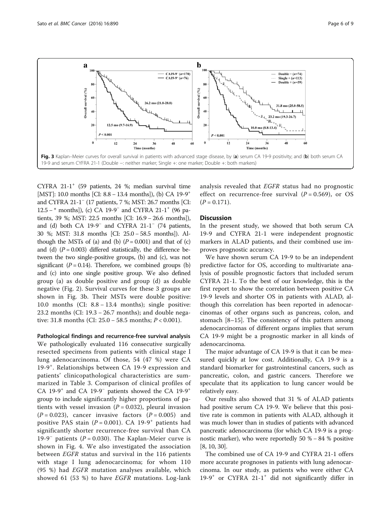<span id="page-5-0"></span>

CYFRA 21-1+ (59 patients, 24 %; median survival time [MST]: 10.0 months [CI: 8.8 – 13.4 months]), (b) CA 19-9<sup>+</sup> and CYFRA 21-1<sup>−</sup> (17 patients, 7 %; MST: 26.7 months [CI: 12.5 − \* months]), (c) CA 19-9<sup>−</sup> and CYFRA 21-1+ (96 patients, 39 %; MST: 22.5 months [CI: 16.9 − 26.6 months]), and (d) both CA 19-9<sup>−</sup> and CYFRA 21-1<sup>−</sup> (74 patients, 30 %; MST: 31.8 months [CI: 25.0 − 58.5 months]). Although the MSTs of (a) and (b)  $(P = 0.001)$  and that of (c) and (d)  $(P = 0.003)$  differed statistically, the difference between the two single-positive groups, (b) and (c), was not significant ( $P = 0.14$ ). Therefore, we combined groups (b) and (c) into one single positive group. We also defined group (a) as double positive and group (d) as double negative (Fig. [2](#page-2-0)). Survival curves for these 3 groups are shown in Fig. 3b. Their MSTs were double positive: 10.0 months (CI: 8.8 − 13.4 months); single positive: 23.2 months (CI: 19.3 − 26.7 months); and double negative: 31.8 months (CI: 25.0 – 58.5 months;  $P < 0.001$ ).

Pathological findings and recurrence-free survival analysis We pathologically evaluated 116 consecutive surgically resected specimens from patients with clinical stage I lung adenocarcinoma. Of those, 54 (47 %) were CA 19-9<sup>+</sup> . Relationships between CA 19-9 expression and patients' clinicopathological characteristics are summarized in Table [3.](#page-6-0) Comparison of clinical profiles of CA 19-9<sup>+</sup> and CA 19-9<sup>-</sup> patients showed the CA 19-9<sup>+</sup> group to include significantly higher proportions of patients with vessel invasion ( $P = 0.032$ ), pleural invasion  $(P = 0.023)$ , cancer invasive factors  $(P = 0.005)$  and positive PAS stain ( $P = 0.001$ ). CA 19-9<sup>+</sup> patients had significantly shorter recurrence-free survival than CA 19-9<sup>-</sup> patients ( $P = 0.030$ ). The Kaplan-Meier curve is shown in Fig. [4](#page-7-0). We also investigated the association between EGFR status and survival in the 116 patients with stage I lung adenocarcinoma; for whom 110 (95 %) had EGFR mutation analyses available, which showed 61 (53 %) to have EGFR mutations. Log-lank

analysis revealed that EGFR status had no prognostic effect on recurrence-free survival  $(P = 0.569)$ , or OS  $(P = 0.171)$ .

#### **Discussion**

In the present study, we showed that both serum CA 19-9 and CYFRA 21-1 were independent prognostic markers in ALAD patients, and their combined use improves prognostic accuracy.

We have shown serum CA 19-9 to be an independent predictive factor for OS, according to multivariate analysis of possible prognostic factors that included serum CYFRA 21-1. To the best of our knowledge, this is the first report to show the correlation between positive CA 19-9 levels and shorter OS in patients with ALAD, although this correlation has been reported in adenocarcinomas of other organs such as pancreas, colon, and stomach [\[8](#page-8-0)–[15\]](#page-8-0). The consistency of this pattern among adenocarcinomas of different organs implies that serum CA 19-9 might be a prognostic marker in all kinds of adenocarcinoma.

The major advantage of CA 19-9 is that it can be measured quickly at low cost. Additionally, CA 19-9 is a standard biomarker for gastrointestinal cancers, such as pancreatic, colon, and gastric cancers. Therefore we speculate that its application to lung cancer would be relatively easy.

Our results also showed that 31 % of ALAD patients had positive serum CA 19-9. We believe that this positive rate is common in patients with ALAD, although it was much lower than in studies of patients with advanced pancreatic adenocarcinoma (for which CA 19-9 is a prognostic marker), who were reportedly 50 % − 84 % positive [[8, 10, 30](#page-8-0)].

The combined use of CA 19-9 and CYFRA 21-1 offers more accurate prognoses in patients with lung adenocarcinoma. In our study, as patients who were either CA  $19-9$ <sup>+</sup> or CYFRA 21-1<sup>+</sup> did not significantly differ in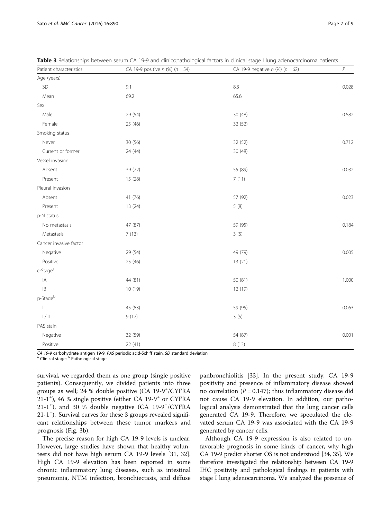| Patient characteristics | CA 19-9 positive $n$ (%) ( $n = 54$ ) | CA 19-9 negative $n$ (%) ( $n = 62$ ) | $\boldsymbol{P}$ |
|-------------------------|---------------------------------------|---------------------------------------|------------------|
| Age (years)             |                                       |                                       |                  |
| SD                      | 9.1                                   | 8.3                                   | 0.028            |
| Mean                    | 69.2                                  | 65.6                                  |                  |
| Sex                     |                                       |                                       |                  |
| Male                    | 29 (54)                               | 30 (48)                               | 0.582            |
| Female                  | 25 (46)                               | 32 (52)                               |                  |
| Smoking status          |                                       |                                       |                  |
| Never                   | 30 (56)                               | 32 (52)                               | 0.712            |
| Current or former       | 24 (44)                               | 30 (48)                               |                  |
| Vessel invasion         |                                       |                                       |                  |
| Absent                  | 39 (72)                               | 55 (89)                               | 0.032            |
| Present                 | 15 (28)                               | 7(11)                                 |                  |
| Pleural invasion        |                                       |                                       |                  |
| Absent                  | 41 (76)                               | 57 (92)                               | 0.023            |
| Present                 | 13 (24)                               | 5(8)                                  |                  |
| p-N status              |                                       |                                       |                  |
| No metastasis           | 47 (87)                               | 59 (95)                               | 0.184            |
| Metastasis              | 7(13)                                 | 3(5)                                  |                  |
| Cancer invasive factor  |                                       |                                       |                  |
| Negative                | 29 (54)                               | 49 (79)                               | 0.005            |
| Positive                | 25 (46)                               | 13(21)                                |                  |
| c-Stage <sup>a</sup>    |                                       |                                       |                  |
| IA                      | 44 (81)                               | 50 (81)                               | 1.000            |
| B                       | 10(19)                                | 12 (19)                               |                  |
| p-Stageb                |                                       |                                       |                  |
|                         | 45 (83)                               | 59 (95)                               | 0.063            |
| $  /   $                | 9(17)                                 | 3(5)                                  |                  |
| PAS stain               |                                       |                                       |                  |
| Negative                | 32 (59)                               | 54 (87)                               | 0.001            |
| Positive                | 22 (41)                               | 8(13)                                 |                  |

<span id="page-6-0"></span>Table 3 Relationships between serum CA 19-9 and clinicopathological factors in clinical stage I lung adenocarcinoma patients

CA 19-9 carbohydrate antigen 19-9, PAS periodic acid-Schiff stain, SD standard deviation a Clinical stage; b Pathological stage

survival, we regarded them as one group (single positive patients). Consequently, we divided patients into three groups as well; 24 % double positive (CA 19-9+ /CYFRA 21-1<sup>+</sup> ), 46 % single positive (either CA 19-9<sup>+</sup> or CYFRA 21-1<sup>+</sup> ), and 30 % double negative (CA 19-9<sup>−</sup> /CYFRA 21-1<sup>−</sup> ). Survival curves for these 3 groups revealed significant relationships between these tumor markers and prognosis (Fig. [3b](#page-5-0)).

The precise reason for high CA 19-9 levels is unclear. However, large studies have shown that healthy volunteers did not have high serum CA 19-9 levels [\[31](#page-8-0), [32](#page-8-0)]. High CA 19-9 elevation has been reported in some chronic inflammatory lung diseases, such as intestinal pneumonia, NTM infection, bronchiectasis, and diffuse

panbronchiolitis [\[33\]](#page-8-0). In the present study, CA 19-9 positivity and presence of inflammatory disease showed no correlation  $(P = 0.147)$ ; thus inflammatory disease did not cause CA 19-9 elevation. In addition, our pathological analysis demonstrated that the lung cancer cells generated CA 19-9. Therefore, we speculated the elevated serum CA 19-9 was associated with the CA 19-9 generated by cancer cells.

Although CA 19-9 expression is also related to unfavorable prognosis in some kinds of cancer, why high CA 19-9 predict shorter OS is not understood [\[34](#page-8-0), [35\]](#page-8-0). We therefore investigated the relationship between CA 19-9 IHC positivity and pathological findings in patients with stage I lung adenocarcinoma. We analyzed the presence of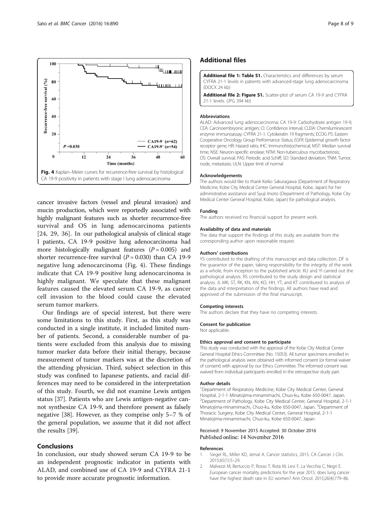<span id="page-7-0"></span>

cancer invasive factors (vessel and pleural invasion) and mucin production, which were reportedly associated with highly malignant features such as shorter recurrence-free survival and OS in lung adenocarcinoma patients [[24](#page-8-0), [29](#page-8-0), [36\]](#page-8-0). In our pathological analysis of clinical stage I patients, CA 19-9 positive lung adenocarcinoma had more histologically malignant features  $(P = 0.005)$  and shorter recurrence-free survival  $(P = 0.030)$  than CA 19-9 negative lung adenocarcinoma (Fig. 4). These findings indicate that CA 19-9 positive lung adenocarcinoma is highly malignant. We speculate that these malignant features caused the elevated serum CA 19-9, as cancer cell invasion to the blood could cause the elevated serum tumor markers.

Our findings are of special interest, but there were some limitations to this study. First, as this study was conducted in a single institute, it included limited number of patients. Second, a considerable number of patients were excluded from this analysis due to missing tumor marker data before their initial therapy, because measurement of tumor markers was at the discretion of the attending physician. Third, subject selection in this study was confined to Japanese patients, and racial differences may need to be considered in the interpretation of this study. Fourth, we did not examine Lewis antigen status [[37](#page-8-0)]. Patients who are Lewis antigen-negative cannot synthesize CA 19-9, and therefore present as falsely negative [\[38\]](#page-8-0). However, as they comprise only 5–7 % of the general population, we assume that it did not affect the results [\[39](#page-8-0)].

#### Conclusions

In conclusion, our study showed serum CA 19-9 to be an independent prognostic indicator in patients with ALAD, and combined use of CA 19-9 and CYFRA 21-1 to provide more accurate prognostic information.

### Additional files

[Additional file 1: Table S1.](dx.doi.org/10.1186/s12885-016-2897-6) Characteristics and differences by serum CYFRA 21-1 levels in patients with advanced-stage lung adenocarcinoma. (DOCX 24 kb)

[Additional file 2: Figure S1.](dx.doi.org/10.1186/s12885-016-2897-6) Scatter-plot of serum CA 19-9 and CYFRA 21-1 levels. (JPG 394 kb)

#### Abbreviations

ALAD: Advanced lung adenocarcinoma; CA 19-9: Carbohydrate antigen 19-9; CEA: Carcinoembryonic antigen; CI: Confidence interval; CLEIA: Chemiluminescent enzyme immunoassay; CYFRA 21-1: Cytokeratin 19 fragments; ECOG PS: Eastern Cooperative Oncology Group Performance Status; EGFR: Epidermal growth factor receptor gene; HR: Hazard ratio; IHC: Immunohistochemical; MST: Median survival time; NSE: Neuron-specific enolase; NTM: Non-tuberculous mycobacteriosis; OS: Overall survival; PAS: Periodic acid Schiff; SD: Standard deviation; TNM: Tumor, node, metastasis; ULN: Upper limit of normal

#### Acknowledgements

The authors would like to thank Keiko Sakuragawa (Department of Respiratory Medicine, Kobe City Medical Center General Hospital, Kobe, Japan) for her administrative assistance and Syuji Imoto (Department of Pathology, Kobe City Medical Center General Hospital, Kobe, Japan) for pathological analysis.

#### Funding

The authors received no financial support for present work.

#### Availability of data and materials

The data that support the findings of this study are available from the corresponding author upon reasonable request.

#### Authors' contributions

YS contributed to the drafting of this manuscript and data collection. DF is the guarantor of the paper, taking responsibility for the integrity of the work as a whole, from inception to the published article. KU and YI carried out the pathological analysis. RS contributed to the study design and statistical analysis. JI, MK, ST, RK, KN, AN, KO, HH, YT, and KT contributed to analysis of the data and interpretation of the findings. All authors have read and approved of the submission of the final manuscript.

#### Competing interests

The authors declare that they have no competing interests.

#### Consent for publication

Not applicable.

#### Ethics approval and consent to participate

This study was conducted with the approval of the Kobe City Medical Center General Hospital Ethics Committee (No. 15053). All tumor specimens enrolled in the pathological analysis were obtained with informed consent (or formal waiver of consent) with approval by our Ethics Committee. The informed consent was waived from individual participants enrolled in the retrospective study part.

#### Author details

<sup>1</sup>Department of Respiratory Medicine, Kobe City Medical Center, General Hospital, 2-1-1 Minatojima-minamimachi, Chuo-ku, Kobe 650-0047, Japan. <sup>2</sup>Department of Pathology, Kobe City Medical Center, General Hospital, 2-1-1 Minatojima-minamimachi, Chuo-ku, Kobe 650-0047, Japan. <sup>3</sup>Department of Thoracic Surgery, Kobe City Medical Center, General Hospital, 2-1-1 Minatojima-minamimachi, Chuo-ku, Kobe 650-0047, Japan.

#### Received: 9 November 2015 Accepted: 30 October 2016 Published online: 14 November 2016

#### References

- Siegel RL, Miller KD, Jemal A. Cancer statistics, 2015. CA Cancer J Clin. 2015;65(1):5–29.
- 2. Malvezzi M, Bertuccio P, Rosso T, Rota M, Levi F, La Vecchia C, Negri E. European cancer mortality predictions for the year 2015: does lung cancer have the highest death rate in EU women? Ann Oncol. 2015;26(4):779–86.